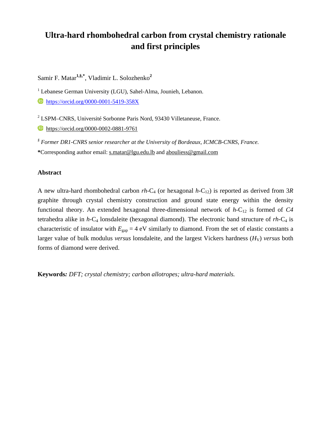# **Ultra-hard rhombohedral carbon from crystal chemistry rationale and first principles**

Samir F. Matar**1,§,\***, Vladimir L. Solozhenko**<sup>2</sup>**

<sup>1</sup> Lebanese German University (LGU), Sahel-Alma, Jounieh, Lebanon.

**<https://orcid.org/0000-0001-5419-358X>** 

2 LSPM–CNRS, Université Sorbonne Paris Nord, 93430 Villetaneuse, France. **https://orcid.org/0000-0002-0881-9761** 

*§ Former DR1-CNRS senior researcher at the University of Bordeaux, ICMCB-CNRS, France.*  **\***Corresponding author email: [s.matar@lgu.edu.lb](mailto:s.matar@lgu.edu.lb) and [abouliess@gmail.com](mailto:abouliess@gmail.com)

# **Abstract**

A new ultra-hard rhombohedral carbon  $rh$ -C<sub>4</sub> (or hexagonal  $h$ -C<sub>12</sub>) is reported as derived from 3*R* graphite through crystal chemistry construction and ground state energy within the density functional theory. An extended hexagonal three-dimensional network of  $h$ -C<sub>12</sub> is formed of C4 tetrahedra alike in *h-*C4 lonsdaleite (hexagonal diamond). The electronic band structure of *rh-*C4 is characteristic of insulator with  $E_{\text{can}} = 4$  eV similarly to diamond. From the set of elastic constants a larger value of bulk modulus *versus* lonsdaleite, and the largest Vickers hardness  $(H<sub>V</sub>)$  *versus* both forms of diamond were derived.

**Keywords***: DFT; crystal chemistry; carbon allotropes; ultra-hard materials.*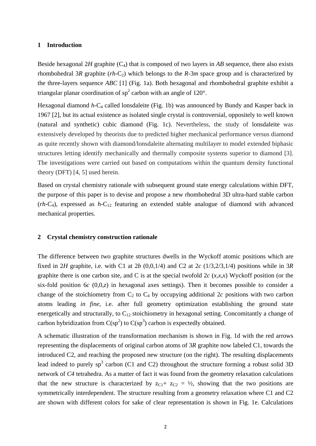## **1 Introduction**

Beside hexagonal 2*H* graphite  $(C_4)$  that is composed of two layers in *AB* sequence, there also exists rhombohedral 3*R* graphite ( $rh$ -C<sub>2</sub>) which belongs to the *R*-3 $m$  space group and is characterized by the three-layers sequence *ABC* [1] (Fig. 1a). Both hexagonal and rhombohedral graphite exhibit a triangular planar coordination of  $sp^2$  carbon with an angle of 120°.

Hexagonal diamond *h*-C<sub>4</sub> called lonsdaleite (Fig. 1b) was announced by Bundy and Kasper back in 1967 [2], but its actual existence as isolated single crystal is controversial, oppositely to well known (natural and synthetic) cubic diamond (Fig. 1c). Nevertheless, the study of lonsdaleite was extensively developed by theorists due to predicted higher mechanical performance versus diamond as quite recently shown with diamond/lonsdaleite alternating multilayer to model extended biphasic structures letting identify mechanically and thermally composite systems superior to diamond [3]. The investigations were carried out based on computations within the quantum density functional theory (DFT) [4, 5] used herein.

Based on crystal chemistry rationale with subsequent ground state energy calculations within DFT, the purpose of this paper is to devise and propose a new rhombohedral 3D ultra-hard stable carbon (*rh-*C4), expressed as *h-*C12 featuring an extended stable analogue of diamond with advanced mechanical properties.

## **2 Crystal chemistry construction rationale**

The difference between two graphite structures dwells in the Wyckoff atomic positions which are fixed in 2*H* graphite, i.e. with C1 at 2*b* (0,0,1/4) and C2 at 2*c* (1/3,2/3,1/4) positions while in 3*R* graphite there is one carbon site, and C is at the special twofold 2*c* (*x,x,x*) Wyckoff position (or the six-fold position 6*c* (0,0,*z*) in hexagonal axes settings). Then it becomes possible to consider a change of the stoichiometry from  $C_2$  to  $C_4$  by occupying additional 2*c* positions with two carbon atoms leading *in fine,* i.e. after full geometry optimization establishing the ground state energetically and structurally, to  $C_{12}$  stoichiometry in hexagonal setting. Concomitantly a change of carbon hybridization from  $C(sp^2)$  to  $C(sp^3)$  carbon is expectedly obtained.

A schematic illustration of the transformation mechanism is shown in Fig. 1d with the red arrows representing the displacements of original carbon atoms of 3*R* graphite now labeled C1, towards the introduced C2, and reaching the proposed new structure (on the right). The resulting displacements lead indeed to purely  $sp^3$  carbon (C1 and C2) throughout the structure forming a robust solid 3D network of *C4* tetrahedra. As a matter of fact it was found from the geometry relaxation calculations that the new structure is characterized by  $z_{C1} + z_{C2} = \frac{1}{2}$ , showing that the two positions are symmetrically interdependent. The structure resulting from a geometry relaxation where C1 and C2 are shown with different colors for sake of clear representation is shown in Fig. 1e. Calculations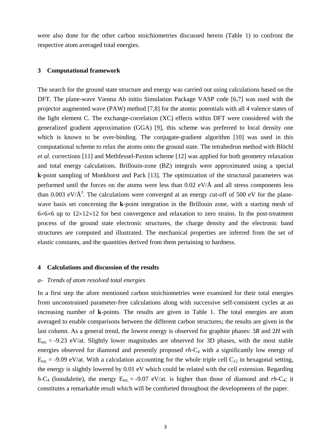were also done for the other carbon stoichiometries discussed herein (Table 1) to confront the respective atom averaged total energies.

#### **3 Computational framework**

The search for the ground state structure and energy was carried out using calculations based on the DFT. The plane-wave Vienna Ab initio Simulation Package VASP code [6,7] was used with the projector augmented wave (PAW) method [7,8] for the atomic potentials with all 4 valence states of the light element C. The exchange-correlation (XC) effects within DFT were considered with the generalized gradient approximation (GGA) [9], this scheme was preferred to local density one which is known to be over-binding. The conjugate-gradient algorithm [10] was used in this computational scheme to relax the atoms onto the ground state. The tetrahedron method with Blöchl *et al.* corrections [11] and Methfessel-Paxton scheme [12] was applied for both geometry relaxation and total energy calculations. Brillouin-zone (BZ) integrals were approximated using a special **k**-point sampling of Monkhorst and Pack [13]. The optimization of the structural parameters was performed until the forces on the atoms were less than 0.02 eV/Å and all stress components less than 0.003 eV/ $\AA$ <sup>3</sup>. The calculations were converged at an energy cut-off of 500 eV for the planewave basis set concerning the **k**-point integration in the Brillouin zone, with a starting mesh of  $6\times6\times6$  up to  $12\times12\times12$  for best convergence and relaxation to zero strains. In the post-treatment process of the ground state electronic structures, the charge density and the electronic band structures are computed and illustrated. The mechanical properties are inferred from the set of elastic constants, and the quantities derived from them pertaining to hardness.

#### **4 Calculations and discussion of the results**

#### *a- Trends of atom resolved total energies*

In a first step the afore mentioned carbon stoichiometries were examined for their total energies from unconstrained parameter-free calculations along with successive self-consistent cycles at an increasing number of **k**-points. The results are given in Table 1. The total energies are atom averaged to enable comparisons between the different carbon structures; the results are given in the last column. As a general trend, the lowest energy is observed for graphite phases: 3*R* and 2*H* with  $E_{\text{tot}}$  = -9.23 eV/at. Slightly lower magnitudes are observed for 3D phases, with the most stable energies observed for diamond and presently proposed *rh-*C4 with a significantly low energy of  $E_{\text{tot}}$  = -9.09 eV/at. With a calculation accounting for the whole triple cell C<sub>12</sub> in hexagonal setting, the energy is slightly lowered by 0.01 eV which could be related with the cell extension. Regarding  $h$ -C<sub>4</sub> (lonsdaleite), the energy E<sub>tot.</sub> = -9.07 eV/at. is higher than those of diamond and *rh*-C<sub>4</sub>; it constitutes a remarkable result which will be comforted throughout the developments of the paper.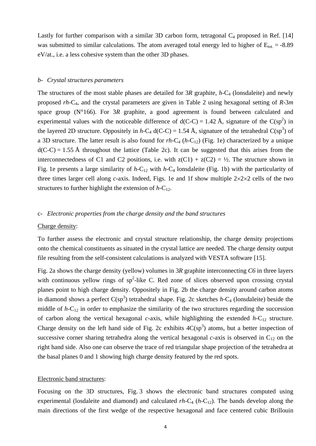Lastly for further comparison with a similar 3D carbon form, tetragonal  $C_4$  proposed in Ref. [14] was submitted to similar calculations. The atom averaged total energy led to higher of  $E_{\text{tot}} = -8.89$ eV/at., i.e. a less cohesive system than the other 3D phases.

## *b- Crystal structures parameters*

The structures of the most stable phases are detailed for 3*R* graphite, *h*-C<sub>4</sub> (lonsdaleite) and newly proposed *rh-*C4, and the crystal parameters are given in Table 2 using hexagonal setting of *R*-3*m*  space group (N°166). For 3*R* graphite, a good agreement is found between calculated and experimental values with the noticeable difference of  $d(C-C) = 1.42 \text{ Å}$ , signature of the  $C(sp^2)$  in the layered 2D structure. Oppositely in *h*-C<sub>4</sub> d(C-C) = 1.54 Å, signature of the tetrahedral C(sp<sup>3</sup>) of a 3D structure. The latter result is also found for  $rh$ -C<sub>4</sub> ( $h$ -C<sub>12</sub>) (Fig. 1e) characterized by a unique  $d(C-C) = 1.55$  Å throughout the lattice (Table 2c). It can be suggested that this arises from the interconnectedness of C1 and C2 positions, i.e. with  $z(C1) + z(C2) = \frac{1}{2}$ . The structure shown in Fig. 1e presents a large similarity of  $h$ -C<sub>12</sub> with  $h$ -C<sub>4</sub> lonsdaleite (Fig. 1b) with the particularity of three times larger cell along *c*-axis. Indeed, Figs. 1e and 1f show multiple  $2 \times 2 \times 2$  cells of the two structures to further highlight the extension of  $h$ -C<sub>12</sub>.

#### c- *Electronic properties from the charge density and the band structures*

#### Charge density:

To further assess the electronic and crystal structure relationship, the charge density projections onto the chemical constituents as situated in the crystal lattice are needed. The charge density output file resulting from the self-consistent calculations is analyzed with VESTA software [15].

Fig. 2a shows the charge density (yellow) volumes in 3*R* graphite interconnecting *C6* in three layers with continuous yellow rings of  $sp^2$ -like C. Red zone of slices observed upon crossing crystal planes point to high charge density. Oppositely in Fig. 2b the charge density around carbon atoms in diamond shows a perfect  $C(sp^3)$  tetrahedral shape. Fig. 2c sketches  $h-C_4$  (lonsdaleite) beside the middle of *h-*C12 in order to emphasize the similarity of the two structures regarding the succession of carbon along the vertical hexagonal *c*-axis, while highlighting the extended  $h-C_{12}$  structure. Charge density on the left hand side of Fig. 2c exhibits  $4C(sp^3)$  atoms, but a better inspection of successive corner sharing tetrahedra along the vertical hexagonal *c*-axis is observed in  $C_{12}$  on the right hand side. Also one can observe the trace of red triangular shape projection of the tetrahedra at the basal planes 0 and 1 showing high charge density featured by the red spots.

## Electronic band structures:

Focusing on the 3D structures, Fig. 3 shows the electronic band structures computed using experimental (losdaleite and diamond) and calculated *rh*-C<sub>4</sub> (*h*-C<sub>12</sub>). The bands develop along the main directions of the first wedge of the respective hexagonal and face centered cubic Brillouin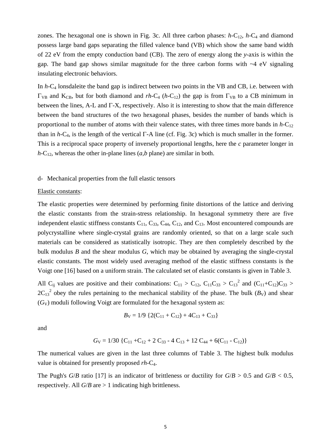zones. The hexagonal one is shown in Fig. 3c. All three carbon phases:  $h-C_{12}$ ,  $h-C_4$  and diamond possess large band gaps separating the filled valence band (VB) which show the same band width of 22 eV from the empty conduction band (CB). The zero of energy along the *y*-axis is within the gap. The band gap shows similar magnitude for the three carbon forms with ~4 eV signaling insulating electronic behaviors.

In *h-*C4 lonsdaleite the band gap is indirect between two points in the VB and CB, i.e. between with  $\Gamma_{VB}$  and K<sub>CB</sub>, but for both diamond and *rh*-C<sub>4</sub> (*h*-C<sub>12</sub>) the gap is from  $\Gamma_{VB}$  to a CB minimum in between the lines, A-L and  $\Gamma$ -X, respectively. Also it is interesting to show that the main difference between the band structures of the two hexagonal phases, besides the number of bands which is proportional to the number of atoms with their valence states, with three times more bands in  $h$ -C<sub>12</sub> than in  $h$ -C<sub>4</sub>, is the length of the vertical  $\Gamma$ -A line (cf. Fig. 3c) which is much smaller in the former. This is a reciprocal space property of inversely proportional lengths, here the *c* parameter longer in  $h$ -C<sub>12</sub>, whereas the other in-plane lines  $(a,b)$  plane) are similar in both.

#### d- Mechanical properties from the full elastic tensors

#### Elastic constants:

The elastic properties were determined by performing finite distortions of the lattice and deriving the elastic constants from the strain-stress relationship. In hexagonal symmetry there are five independent elastic stiffness constants  $C_{11}$ ,  $C_{33}$ ,  $C_{44}$ ,  $C_{12}$ , and  $C_{13}$ . Most encountered compounds are polycrystalline where single-crystal grains are randomly oriented, so that on a large scale such materials can be considered as statistically isotropic. They are then completely described by the bulk modulus *B* and the shear modulus *G*, which may be obtained by averaging the single-crystal elastic constants. The most widely used averaging method of the elastic stiffness constants is the Voigt one [16] based on a uniform strain. The calculated set of elastic constants is given in Table 3.

All C<sub>ij</sub> values are positive and their combinations:  $C_{11} > C_{12}$ ,  $C_{11}C_{33} > C_{13}^2$  and  $(C_{11}+C_{12})C_{33} > C_{13}C_{13}$  $2C_{13}^2$  obey the rules pertaining to the mechanical stability of the phase. The bulk  $(B_V)$  and shear (*G*V) moduli following Voigt are formulated for the hexagonal system as:

$$
B_{\rm V} = 1/9 \left\{ 2(C_{11} + C_{12}) + 4C_{13} + C_{33} \right\}
$$

and

$$
G_V = 1/30 \{C_{11} + C_{12} + 2 C_{33} - 4 C_{13} + 12 C_{44} + 6(C_{11} - C_{12})\}
$$

The numerical values are given in the last three columns of Table 3. The highest bulk modulus value is obtained for presently proposed *rh-*C4.

The Pugh's *G*/*B* ratio [17] is an indicator of brittleness or ductility for  $G/B > 0.5$  and  $G/B < 0.5$ , respectively. All  $G/B$  are  $> 1$  indicating high brittleness.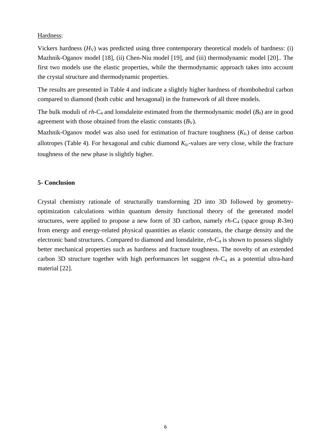## Hardness:

Vickers hardness  $(H_V)$  was predicted using three contemporary theoretical models of hardness: (i) Mazhnik-Oganov model [18], (ii) Chen-Niu model [19], and (iii) thermodynamic model [20].. The first two models use the elastic properties, while the thermodynamic approach takes into account the crystal structure and thermodynamic properties.

The results are presented in Table 4 and indicate a slightly higher hardness of rhombohedral carbon compared to diamond (both cubic and hexagonal) in the framework of all three models.

The bulk moduli of  $rh$ -C<sub>4</sub> and lonsdaleite estimated from the thermodynamic model ( $B_0$ ) are in good agreement with those obtained from the elastic constants  $(B_V)$ .

Mazhnik-Oganov model was also used for estimation of fracture toughness  $(K<sub>Ic</sub>)$  of dense carbon allotropes (Table 4). For hexagonal and cubic diamond  $K_{Ic}$ -values are very close, while the fracture toughness of the new phase is slightly higher.

# **5- Conclusion**

Crystal chemistry rationale of structurally transforming 2D into 3D followed by geometryoptimization calculations within quantum density functional theory of the generated model structures, were applied to propose a new form of 3D carbon, namely *rh-*C4 (space group *R*-3*m*) from energy and energy-related physical quantities as elastic constants, the charge density and the electronic band structures. Compared to diamond and lonsdaleite, *rh-*C4 is shown to possess slightly better mechanical properties such as hardness and fracture toughness. The novelty of an extended carbon 3D structure together with high performances let suggest *rh-*C4 as a potential ultra-hard material [22].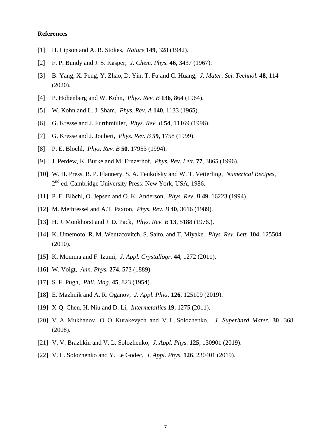#### **References**

- [1] H. Lipson and A. R. Stokes, *Nature* **149**, 328 (1942).
- [2] F. P. Bundy and J. S. Kasper, *J. Chem. Phys.* **46**, 3437 (1967).
- [3] B. Yang, X. Peng, Y. Zhao, D. Yin, T. Fu and C. Huang, *J. Mater. Sci. Technol.* **48**, 114 (2020).
- [4] P. Hohenberg and W. Kohn, *Phys. Rev. B* **136**, 864 (1964).
- [5] W. Kohn and L. J. Sham, *Phys. Rev. A* **140**, 1133 (1965).
- [6] G. Kresse and J. Furthmüller, *Phys. Rev. B* **54**, 11169 (1996).
- [7] G. Kresse and J. Joubert, *Phys. Rev. B* **59**, 1758 (1999).
- [8] P. E. Blöchl, *Phys. Rev. B* **50**, 17953 (1994).
- [9] J. Perdew, K. Burke and M. Ernzerhof, *Phys. Rev. Lett.* **77**, 3865 (1996).
- [10] W. H. Press, B. P. Flannery, S. A. Teukolsky and W. T. Vetterling, *Numerical Recipes*, 2nd ed. Cambridge University Press: New York, USA, 1986.
- [11] P. E. Blöchl, O. Jepsen and O. K. Anderson, *Phys. Rev. B* **49**, 16223 (1994).
- [12] M. Methfessel and A.T. Paxton, *Phys. Rev. B* **40**, 3616 (1989).
- [13] H. J. Monkhorst and J. D. Pack, *Phys. Rev. B* **13**, 5188 (1976.).
- [14] K. Umemoto, R. M. Wentzcovitch, S. Saito, and T. Miyake. *Phys. Rev. Lett.* **104**, 125504 (2010).
- [15] K. Momma and F. Izumi, *J. Appl. Crystallogr.* **44**, 1272 (2011).
- [16] W. Voigt, *Ann. Phys.* **274**, 573 (1889).
- [17] S. F. Pugh, *Phil. Mag.* **45**, 823 (1954).
- [18] [E. Mazhnik](https://aip.scitation.org/author/Mazhnik%2C+Efim) and [A. R. Oganov,](https://aip.scitation.org/author/Oganov%2C+Artem+R) *J. Appl. Phys.* **126**, 125109 (2019).
- [19] X-Q. Chen, H. Niu and D. Li, *Intermetallics* **19**, 1275 (2011).
- [20] V. A. Mukhanov, O. O. Kurakevych and V. L. Solozhenko, *J. Superhard Mater.* **30**, 368 (2008).
- [21] V. V. Brazhkin and V. L. Solozhenko*, J. Appl. Phys.* **125**, 130901 (2019).
- [22] V. L. Solozhenko and Y. Le Godec, *J. Appl. Phys.* **126**, 230401 (2019).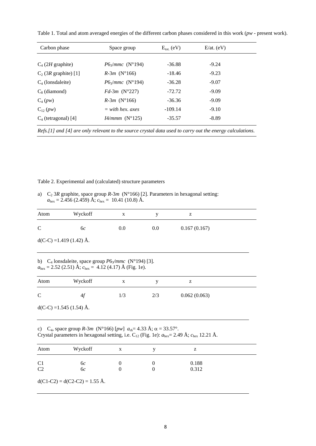| Table 1. Total and atom averaged energies of the different carbon phases considered in this work ( $pw$ - present work). |  |  |  |  |  |  |
|--------------------------------------------------------------------------------------------------------------------------|--|--|--|--|--|--|
|                                                                                                                          |  |  |  |  |  |  |

| Carbon phase            | Space group            | $E_{\text{tot.}}$ (eV) | $E$ /at. (eV) |  |
|-------------------------|------------------------|------------------------|---------------|--|
|                         |                        |                        |               |  |
| $C_4$ (2H graphite)     | $P6\sqrt{mmc}$ (N°194) | $-36.88$               | $-9.24$       |  |
| $C_2$ (3R graphite) [1] | $R-3m$ (N°166)         | $-18.46$               | $-9.23$       |  |
| $C_4$ (lonsdaleite)     | $P6\sqrt{mmc}$ (N°194) | $-36.28$               | $-9.07$       |  |
| $C_8$ (diamond)         | $Fd-3m$ (N°227)        | $-72.72$               | $-9.09$       |  |
| $C_4(pw)$               | $R-3m$ (N°166)         | $-36.36$               | $-9.09$       |  |
| $C_{12} (pw)$           | $=$ with hex. axes     | $-109.14$              | $-9.10$       |  |
| $C_4$ (tetragonal) [4]  | $I4/mmm$ (N°125)       | $-35.57$               | $-8.89$       |  |

*Refs.[1] and [4] are only relevant to the source crystal data used to carry out the energy calculations*.

Table 2. Experimental and (calculated) structure parameters

a) C2 3*R* graphite, space group *R*-3*m* (N°166) [2]. Parameters in hexagonal setting:  $a_{\text{hex}} = 2.456 (2.459) \text{ Å}$ ;  $c_{\text{hex}} = 10.41 (10.8) \text{ Å}$ .

| Atom          | Wyckoff                   | X   |     |              |  |
|---------------|---------------------------|-----|-----|--------------|--|
| $\mathcal{C}$ | $^{6c}$                   | 0.0 | 0.0 | 0.167(0.167) |  |
|               | $d(C-C) = 1.419(1.42)$ Å. |     |     |              |  |

b) C<sub>4</sub> lonsdaleite, space group *P*6<sub>3</sub>/mmc (N°194) [3].  $a_{\text{hex}} = 2.52$  (2.51) Å;  $c_{\text{hex}} = 4.12$  (4.17) Å (Fig. 1e).

| Atom         | Wyckoff | X   |     | L            |  |
|--------------|---------|-----|-----|--------------|--|
| $\mathsf{C}$ | 4t      | 1/3 | 2/3 | 0.062(0.063) |  |

 $d(C-C) = 1.545$  (1.54) Å.

c) C<sub>4</sub>, space group *R*-3*m* (N°166) [ $pw$ ]  $a_{\text{rh}} = 4.33 \text{ Å}; \alpha = 33.57^{\circ}.$ Crystal parameters in hexagonal setting, i.e. C12 (Fig. 1e): *a*hex= 2.49 Å; *c*hex 12.21 Å.

| Atom           | Wyckoff | X | z     |  |
|----------------|---------|---|-------|--|
| C1             | 6c      |   | 0.188 |  |
| C <sub>2</sub> | 6c      |   | 0.312 |  |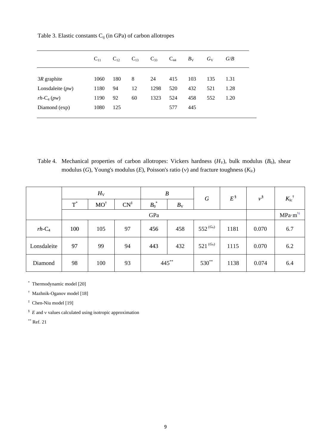|                    | $C_{11}$ | $C_{12}$ | $C_{13}$ | $C_{33}$ | $C_{44}$ | $B_{\rm V}$ | $G_V$ | G/B  |
|--------------------|----------|----------|----------|----------|----------|-------------|-------|------|
|                    |          |          |          |          |          |             |       |      |
| $3R$ graphite      | 1060     | 180      | 8        | 24       | 415      | 103         | 135   | 1.31 |
| Lonsdaleite $(pw)$ | 1180     | 94       | 12       | 1298     | 520      | 432         | 521   | 1.28 |
| $rh$ - $C_4$ (pw)  | 1190     | 92       | 60       | 1323     | 524      | 458         | 552   | 1.20 |
| Diamond (exp)      | 1080     | 125      |          |          | 577      | 445         |       |      |
|                    |          |          |          |          |          |             |       |      |

Table 3. Elastic constants  $C_{ij}$  (in GPa) of carbon allotropes

Table 4. Mechanical properties of carbon allotropes: Vickers hardness  $(H_v)$ , bulk modulus  $(B_0)$ , shear modulus (*G*), Young's modulus (*E*), Poisson's ratio ( $\nu$ ) and fracture toughness ( $K_{\text{Ic}}$ )

|              | $H_V$      |                |                 | B       |             | G                     | $E^{\,\S}$ | $\nu^{\S}$ | $K_{\mathrm{Ic}}^{\dagger}$ |
|--------------|------------|----------------|-----------------|---------|-------------|-----------------------|------------|------------|-----------------------------|
|              | $T^{\ast}$ | $MO^{\dagger}$ | $CN^{\ddagger}$ | $B_0^*$ | $B_{\rm V}$ |                       |            |            |                             |
|              |            |                |                 | GPa     |             |                       |            |            | $MPa·m^{\frac{1}{2}}$       |
| $rh$ - $C_4$ | 100        | 105            | 97              | 456     | 458         | $552^{\,(G_{\rm V})}$ | 1181       | 0.070      | 6.7                         |
| Lonsdaleite  | 97         | 99             | 94              | 443     | 432         | $521^{(G_v)}$         | 1115       | 0.070      | 6.2                         |
| Diamond      | 98         | 100            | 93              | 445**   |             | $530***$              | 1138       | 0.074      | 6.4                         |

\* Thermodynamic model [20]

† Mazhnik-Oganov model [18]

‡ Chen-Niu model [19]

 $\frac{8}{5}$  E and v values calculated using isotropic approximation

 $*$ \* Ref. 21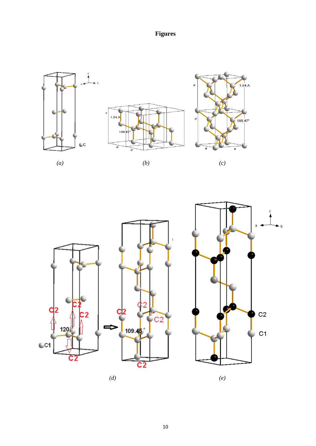**Figures** 







 *(d) (e)*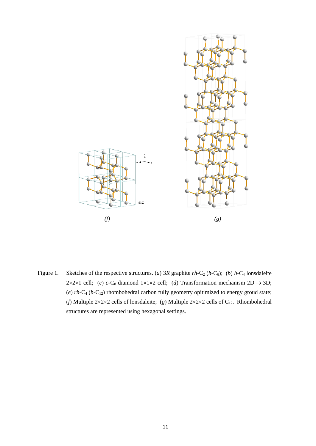

Figure 1. Sketches of the respective structures. (*a*) 3*R* graphite  $rh$ -C<sub>2</sub> ( $h$ -C<sub>6</sub>); (*b*)  $h$ -C<sub>4</sub> lonsdaleite 2×2×1 cell; (*c*) *c*-C<sub>8</sub> diamond 1×1×2 cell; (*d*) Transformation mechanism 2D  $\rightarrow$  3D; (*e*)  $rh$ -C<sub>4</sub> ( $h$ -C<sub>12</sub>) rhombohedral carbon fully geometry opitimized to energy groud state; (*f*) Multiple 2×2×2 cells of lonsdaleite; (*g*) Multiple 2×2×2 cells of C<sub>12</sub>. Rhombohedral structures are represented using hexagonal settings.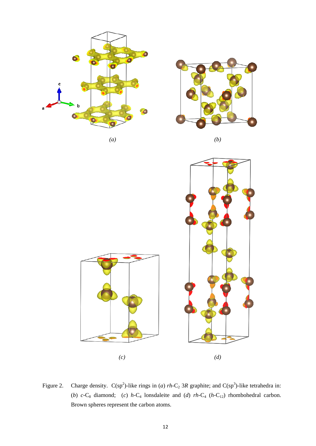

Figure 2. Charge density.  $C(sp^2)$ -like rings in (*a*) *rh*-C<sub>2</sub> 3*R* graphite; and  $C(sp^3)$ -like tetrahedra in: (*b*)  $c$ -C<sub>8</sub> diamond; (*c*)  $h$ -C<sub>4</sub> lonsdaleite and (*d*)  $rh$ -C<sub>4</sub> ( $h$ -C<sub>12</sub>) rhombohedral carbon. Brown spheres represent the carbon atoms.